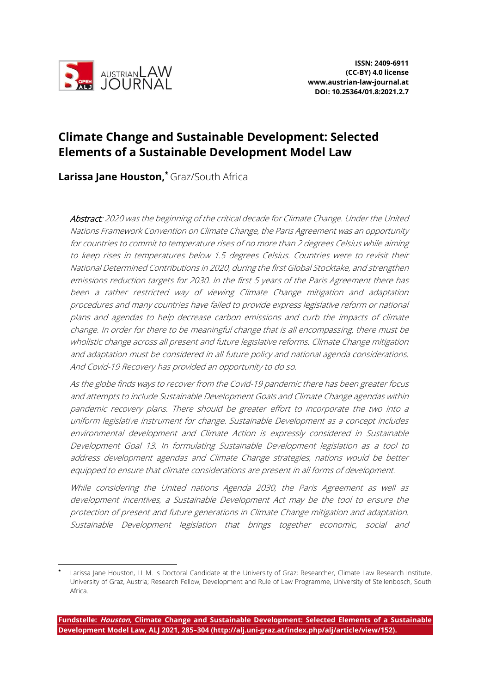

# **Climate Change and Sustainable Development: Selected Elements of a Sustainable Development Model Law**

**Larissa Jane Houston,\*** Graz/South Africa

Abstract: 2020 was the beginning of the critical decade for Climate Change. Under the United Nations Framework Convention on Climate Change, the Paris Agreement was an opportunity for countries to commit to temperature rises of no more than 2 degrees Celsius while aiming to keep rises in temperatures below 1.5 degrees Celsius. Countries were to revisit their National Determined Contributions in 2020, during the first Global Stocktake, and strengthen emissions reduction targets for 2030. In the first 5 years of the Paris Agreement there has been a rather restricted way of viewing Climate Change mitigation and adaptation procedures and many countries have failed to provide express legislative reform or national plans and agendas to help decrease carbon emissions and curb the impacts of climate change. In order for there to be meaningful change that is all encompassing, there must be wholistic change across all present and future legislative reforms. Climate Change mitigation and adaptation must be considered in all future policy and national agenda considerations. And Covid-19 Recovery has provided an opportunity to do so.

As the globe finds ways to recover from the Covid-19 pandemic there has been greater focus and attempts to include Sustainable Development Goals and Climate Change agendas within pandemic recovery plans. There should be greater effort to incorporate the two into a uniform legislative instrument for change. Sustainable Development as a concept includes environmental development and Climate Action is expressly considered in Sustainable Development Goal 13. In formulating Sustainable Development legislation as a tool to address development agendas and Climate Change strategies, nations would be better equipped to ensure that climate considerations are present in all forms of development.

While considering the United nations Agenda 2030, the Paris Agreement as well as development incentives, a Sustainable Development Act may be the tool to ensure the protection of present and future generations in Climate Change mitigation and adaptation. Sustainable Development legislation that brings together economic, social and

Larissa Jane Houston, LL.M. is Doctoral Candidate at the University of Graz; Researcher, Climate Law Research Institute, University of Graz, Austria; Research Fellow, Development and Rule of Law Programme, University of Stellenbosch, South Africa.

**Fundstelle: Houston, Climate Change and Sustainable Development: Selected Elements of a Sustainable Development Model Law, ALJ 2021, 285–304 (http://alj.uni-graz.at/index.php/alj/article/view/152).**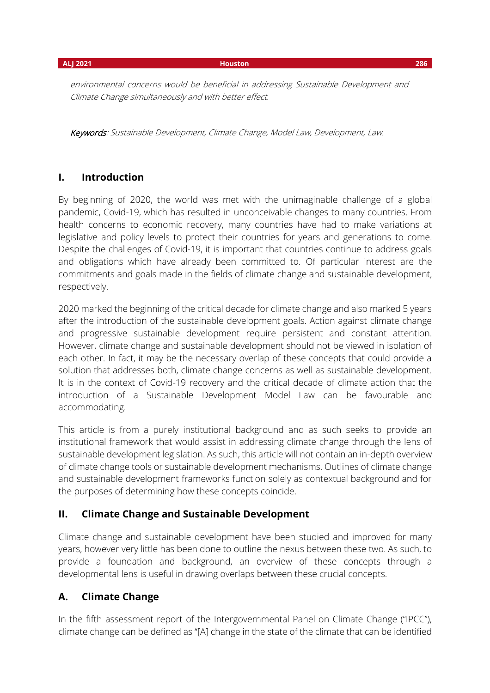environmental concerns would be beneficial in addressing Sustainable Development and Climate Change simultaneously and with better effect.

Keywords: Sustainable Development, Climate Change, Model Law, Development, Law.

# **I. Introduction**

By beginning of 2020, the world was met with the unimaginable challenge of a global pandemic, Covid-19, which has resulted in unconceivable changes to many countries. From health concerns to economic recovery, many countries have had to make variations at legislative and policy levels to protect their countries for years and generations to come. Despite the challenges of Covid-19, it is important that countries continue to address goals and obligations which have already been committed to. Of particular interest are the commitments and goals made in the fields of climate change and sustainable development, respectively.

2020 marked the beginning of the critical decade for climate change and also marked 5 years after the introduction of the sustainable development goals. Action against climate change and progressive sustainable development require persistent and constant attention. However, climate change and sustainable development should not be viewed in isolation of each other. In fact, it may be the necessary overlap of these concepts that could provide a solution that addresses both, climate change concerns as well as sustainable development. It is in the context of Covid-19 recovery and the critical decade of climate action that the introduction of a Sustainable Development Model Law can be favourable and accommodating.

This article is from a purely institutional background and as such seeks to provide an institutional framework that would assist in addressing climate change through the lens of sustainable development legislation. As such, this article will not contain an in-depth overview of climate change tools or sustainable development mechanisms. Outlines of climate change and sustainable development frameworks function solely as contextual background and for the purposes of determining how these concepts coincide.

# **II. Climate Change and Sustainable Development**

Climate change and sustainable development have been studied and improved for many years, however very little has been done to outline the nexus between these two. As such, to provide a foundation and background, an overview of these concepts through a developmental lens is useful in drawing overlaps between these crucial concepts.

# **A. Climate Change**

In the fifth assessment report of the Intergovernmental Panel on Climate Change ("IPCC"), climate change can be defined as "[A] change in the state of the climate that can be identified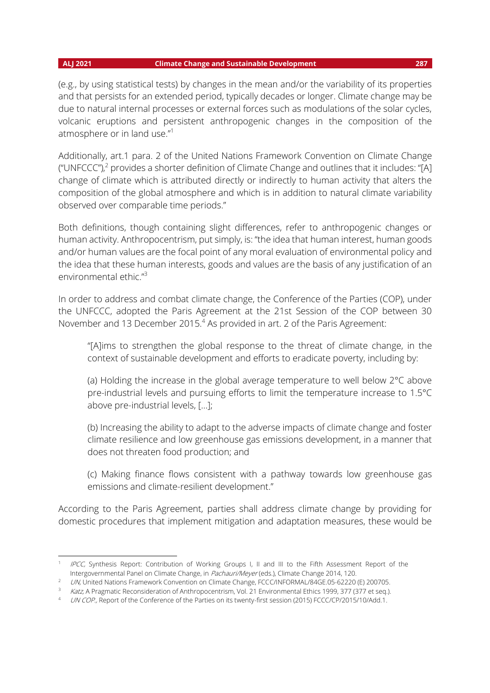### **ALJ 2021 Climate Change and Sustainable Development 287**

(e.g., by using statistical tests) by changes in the mean and/or the variability of its properties and that persists for an extended period, typically decades or longer. Climate change may be due to natural internal processes or external forces such as modulations of the solar cycles, volcanic eruptions and persistent anthropogenic changes in the composition of the atmosphere or in land use."<sup>1</sup>

Additionally, art.1 para. 2 of the United Nations Framework Convention on Climate Change ("UNFCCC"),<sup>2</sup> provides a shorter definition of Climate Change and outlines that it includes: "[A] change of climate which is attributed directly or indirectly to human activity that alters the composition of the global atmosphere and which is in addition to natural climate variability observed over comparable time periods."

Both definitions, though containing slight differences, refer to anthropogenic changes or human activity. Anthropocentrism, put simply, is: "the idea that human interest, human goods and/or human values are the focal point of any moral evaluation of environmental policy and the idea that these human interests, goods and values are the basis of any justification of an environmental ethic."<sup>3</sup>

In order to address and combat climate change, the Conference of the Parties (COP), under the UNFCCC, adopted the Paris Agreement at the 21st Session of the COP between 30 November and 13 December 2015.<sup>4</sup> As provided in art. 2 of the Paris Agreement:

"[A]ims to strengthen the global response to the threat of climate change, in the context of sustainable development and efforts to eradicate poverty, including by:

(a) Holding the increase in the global average temperature to well below 2°C above pre-industrial levels and pursuing efforts to limit the temperature increase to 1.5°C above pre-industrial levels, […];

(b) Increasing the ability to adapt to the adverse impacts of climate change and foster climate resilience and low greenhouse gas emissions development, in a manner that does not threaten food production; and

(c) Making finance flows consistent with a pathway towards low greenhouse gas emissions and climate-resilient development."

According to the Paris Agreement, parties shall address climate change by providing for domestic procedures that implement mitigation and adaptation measures, these would be

<sup>&</sup>lt;sup>1</sup> IPCC, Synthesis Report: Contribution of Working Groups I, II and III to the Fifth Assessment Report of the Intergovernmental Panel on Climate Change, in Pachauri/Meyer (eds.), Climate Change 2014, 120.

<sup>2</sup> UN, United Nations Framework Convention on Climate Change, FCCC/INFORMAL/84GE.05-62220 (E) 200705.

Katz, A Pragmatic Reconsideration of Anthropocentrism, Vol. 21 Environmental Ethics 1999, 377 (377 et seq.).

UN COP., Report of the Conference of the Parties on its twenty-first session (2015) FCCC/CP/2015/10/Add.1.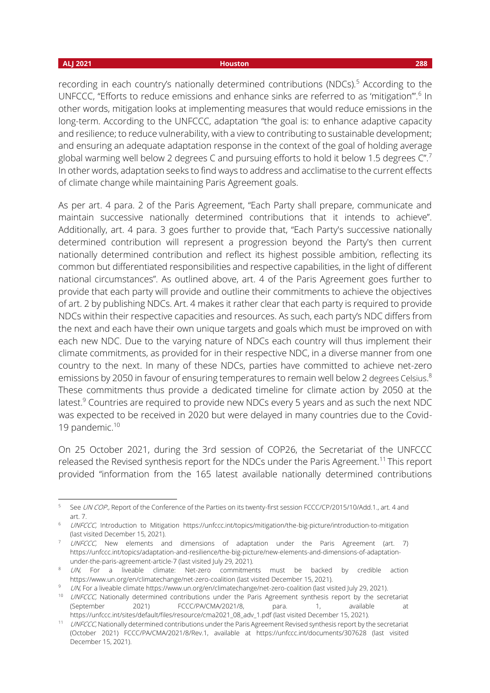### **ALJ 2021 Houston 288**

recording in each country's nationally determined contributions (NDCs).<sup>5</sup> According to the UNFCCC, "Efforts to reduce emissions and enhance sinks are referred to as 'mitigation'".<sup>6</sup> In other words, mitigation looks at implementing measures that would reduce emissions in the long-term. According to the UNFCCC, adaptation "the goal is: to enhance adaptive capacity and resilience; to reduce vulnerability, with a view to contributing to sustainable development; and ensuring an adequate adaptation response in the context of the goal of holding average global warming well below 2 degrees C and pursuing efforts to hold it below 1.5 degrees C".<sup>7</sup> In other words, adaptation seeks to find ways to address and acclimatise to the current effects of climate change while maintaining Paris Agreement goals.

As per art. 4 para. 2 of the Paris Agreement, "Each Party shall prepare, communicate and maintain successive nationally determined contributions that it intends to achieve". Additionally, art. 4 para. 3 goes further to provide that, "Each Party's successive nationally determined contribution will represent a progression beyond the Party's then current nationally determined contribution and reflect its highest possible ambition, reflecting its common but differentiated responsibilities and respective capabilities, in the light of different national circumstances". As outlined above, art. 4 of the Paris Agreement goes further to provide that each party will provide and outline their commitments to achieve the objectives of art. 2 by publishing NDCs. Art. 4 makes it rather clear that each party is required to provide NDCs within their respective capacities and resources. As such, each party's NDC differs from the next and each have their own unique targets and goals which must be improved on with each new NDC. Due to the varying nature of NDCs each country will thus implement their climate commitments, as provided for in their respective NDC, in a diverse manner from one country to the next. In many of these NDCs, parties have committed to achieve net-zero emissions by 2050 in favour of ensuring temperatures to remain well below 2 degrees Celsius.<sup>8</sup> These commitments thus provide a dedicated timeline for climate action by 2050 at the latest.<sup>9</sup> Countries are required to provide new NDCs every 5 years and as such the next NDC was expected to be received in 2020 but were delayed in many countries due to the Covid-19 pandemic.<sup>10</sup>

On 25 October 2021, during the 3rd session of COP26, the Secretariat of the UNFCCC released the Revised synthesis report for the NDCs under the Paris Agreement.<sup>11</sup> This report provided "information from the 165 latest available nationally determined contributions

See UN COP., Report of the Conference of the Parties on its twenty-first session FCCC/CP/2015/10/Add.1., art. 4 and art. 7.

<sup>&</sup>lt;sup>6</sup> UNFCCC, Introduction to Mitigation<https://unfccc.int/topics/mitigation/the-big-picture/introduction-to-mitigation> (last visited December 15, 2021).

<sup>&</sup>lt;sup>7</sup> UNFCCC, New elements and dimensions of adaptation under the Paris Agreement (art. 7) [https://unfccc.int/topics/adaptation-and-resilience/the-big-picture/new-elements-and-dimensions-of-adaptation](https://unfccc.int/topics/adaptation-and-resilience/the-big-picture/new-elements-and-dimensions-of-adaptation-under-the-paris-agreement-article-7)[under-the-paris-agreement-article-7](https://unfccc.int/topics/adaptation-and-resilience/the-big-picture/new-elements-and-dimensions-of-adaptation-under-the-paris-agreement-article-7) (last visited July 29, 2021).

<sup>&</sup>lt;sup>8</sup> *UN*, For a liveable climate: Net-zero commitments must be backed by credible action <https://www.un.org/en/climatechange/net-zero-coalition> (last visited December 15, 2021).

<sup>9</sup> UN, For a liveable climat[e https://www.un.org/en/climatechange/net-zero-coalition](https://www.un.org/en/climatechange/net-zero-coalition) (last visited July 29, 2021).

<sup>&</sup>lt;sup>10</sup> UNFCCC, Nationally determined contributions under the Paris Agreement synthesis report by the secretariat (September 2021) FCCC/PA/CMA/2021/8, para. 1, available at [https://unfccc.int/sites/default/files/resource/cma2021\\_08\\_adv\\_1.pdf](https://unfccc.int/sites/default/files/resource/cma2021_08_adv_1.pdf) (last visited December 15, 2021).

<sup>&</sup>lt;sup>11</sup> UNFCCC, Nationally determined contributions under the Paris Agreement Revised synthesis report by the secretariat (October 2021) FCCC/PA/CMA/2021/8/Rev.1, available at <https://unfccc.int/documents/307628> (last visited December 15, 2021).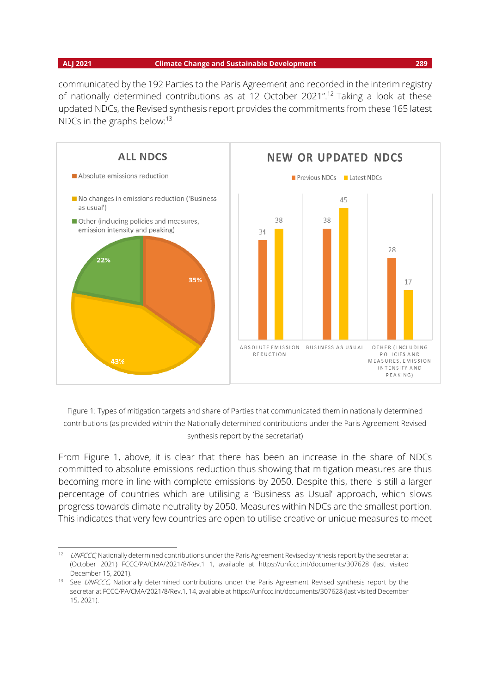communicated by the 192 Parties to the Paris Agreement and recorded in the interim registry of nationally determined contributions as at 12 October 2021".<sup>12</sup> Taking a look at these updated NDCs, the Revised synthesis report provides the commitments from these 165 latest NDCs in the graphs below:<sup>13</sup>



Figure 1: Types of mitigation targets and share of Parties that communicated them in nationally determined contributions (as provided within the Nationally determined contributions under the Paris Agreement Revised synthesis report by the secretariat)

From Figure 1, above, it is clear that there has been an increase in the share of NDCs committed to absolute emissions reduction thus showing that mitigation measures are thus becoming more in line with complete emissions by 2050. Despite this, there is still a larger percentage of countries which are utilising a 'Business as Usual' approach, which slows progress towards climate neutrality by 2050. Measures within NDCs are the smallest portion. This indicates that very few countries are open to utilise creative or unique measures to meet

<sup>&</sup>lt;sup>12</sup> UNFCCC, Nationally determined contributions under the Paris Agreement Revised synthesis report by the secretariat (October 2021) FCCC/PA/CMA/2021/8/Rev.1 1, available at <https://unfccc.int/documents/307628> (last visited December 15, 2021).

<sup>&</sup>lt;sup>13</sup> See UNFCCC, Nationally determined contributions under the Paris Agreement Revised synthesis report by the secretariat FCCC/PA/CMA/2021/8/Rev.1, 14, available a[t https://unfccc.int/documents/307628](https://unfccc.int/documents/307628) (last visited December 15, 2021).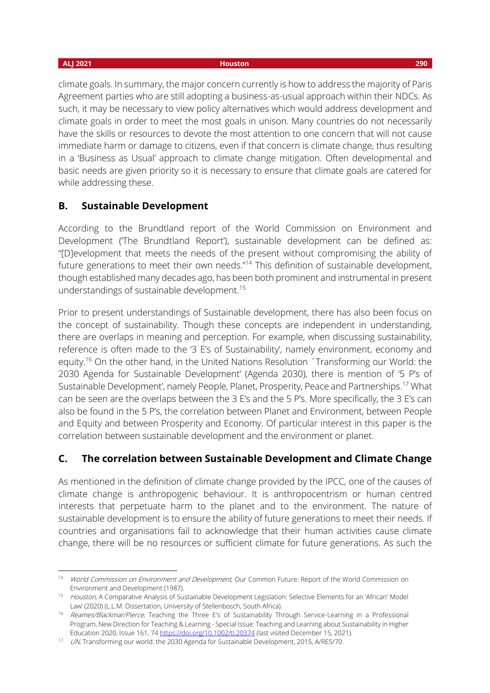### **ALJ 2021 Houston 290**

climate goals. In summary, the major concern currently is how to address the majority of Paris Agreement parties who are still adopting a business-as-usual approach within their NDCs. As such, it may be necessary to view policy alternatives which would address development and climate goals in order to meet the most goals in unison. Many countries do not necessarily have the skills or resources to devote the most attention to one concern that will not cause immediate harm or damage to citizens, even if that concern is climate change, thus resulting in a 'Business as Usual' approach to climate change mitigation. Often developmental and basic needs are given priority so it is necessary to ensure that climate goals are catered for while addressing these.

## **B. Sustainable Development**

According to the Brundtland report of the World Commission on Environment and Development ('The Brundtland Report'), sustainable development can be defined as: "[D]evelopment that meets the needs of the present without compromising the ability of future generations to meet their own needs."<sup>14</sup> This definition of sustainable development, though established many decades ago, has been both prominent and instrumental in present understandings of sustainable development.<sup>15</sup>

Prior to present understandings of Sustainable development, there has also been focus on the concept of sustainability. Though these concepts are independent in understanding, there are overlaps in meaning and perception. For example, when discussing sustainability, reference is often made to the '3 E's of Sustainability', namely environment, economy and equity.<sup>16</sup> On the other hand, in the United Nations Resolution 'Transforming our World: the 2030 Agenda for Sustainable Development' (Agenda 2030), there is mention of '5 P's of Sustainable Development', namely People, Planet, Prosperity, Peace and Partnerships.<sup>17</sup> What can be seen are the overlaps between the 3 E's and the 5 P's. More specifically, the 3 E's can also be found in the 5 P's, the correlation between Planet and Environment, between People and Equity and between Prosperity and Economy. Of particular interest in this paper is the correlation between sustainable development and the environment or planet.

# **C. The correlation between Sustainable Development and Climate Change**

As mentioned in the definition of climate change provided by the IPCC, one of the causes of climate change is anthropogenic behaviour. It is anthropocentrism or human centred interests that perpetuate harm to the planet and to the environment. The nature of sustainable development is to ensure the ability of future generations to meet their needs. If countries and organisations fail to acknowledge that their human activities cause climate change, there will be no resources or sufficient climate for future generations. As such the

<sup>&</sup>lt;sup>14</sup> World Commission on Environment and Development, Our Common Future: Report of the World Commission on Environment and Development (1987).

<sup>&</sup>lt;sup>15</sup> Houston, A Comparative Analysis of Sustainable Development Legislation: Selective Elements for an 'African' Model Law' (2020) (L.L.M. Dissertation, University of Stellenbosch, South Africa).

<sup>&</sup>lt;sup>16</sup> Reames/Blackmar/Pierce, Teaching the Three E's of Sustainability Through Service-Learning in a Professional Program, New Direction for Teaching & Learning - Special Issue: Teaching and Learning about Sustainability in Higher Education 2020, Issue 161, 7[4 https://doi.org/10.1002/tl.20374](https://doi.org/10.1002/tl.20374) (last visited December 15, 2021).

<sup>17</sup> UN, Transforming our world: the 2030 Agenda for Sustainable Development, 2015, A/RES/70.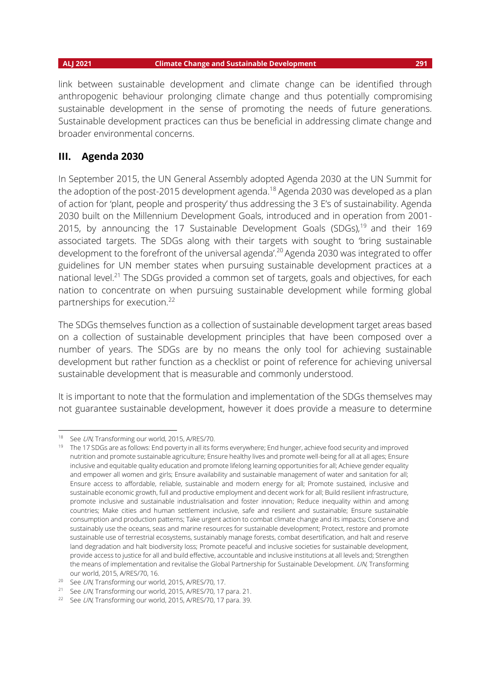link between sustainable development and climate change can be identified through anthropogenic behaviour prolonging climate change and thus potentially compromising sustainable development in the sense of promoting the needs of future generations. Sustainable development practices can thus be beneficial in addressing climate change and broader environmental concerns.

### **III. Agenda 2030**

In September 2015, the UN General Assembly adopted Agenda 2030 at the UN Summit for the adoption of the post-2015 development agenda.<sup>18</sup> Agenda 2030 was developed as a plan of action for 'plant, people and prosperity' thus addressing the 3 E's of sustainability. Agenda 2030 built on the Millennium Development Goals, introduced and in operation from 2001- 2015, by announcing the 17 Sustainable Development Goals (SDGs),<sup>19</sup> and their 169 associated targets. The SDGs along with their targets with sought to 'bring sustainable development to the forefront of the universal agenda'.<sup>20</sup> Agenda 2030 was integrated to offer guidelines for UN member states when pursuing sustainable development practices at a national level.<sup>21</sup> The SDGs provided a common set of targets, goals and objectives, for each nation to concentrate on when pursuing sustainable development while forming global partnerships for execution.<sup>22</sup>

The SDGs themselves function as a collection of sustainable development target areas based on a collection of sustainable development principles that have been composed over a number of years. The SDGs are by no means the only tool for achieving sustainable development but rather function as a checklist or point of reference for achieving universal sustainable development that is measurable and commonly understood.

It is important to note that the formulation and implementation of the SDGs themselves may not guarantee sustainable development, however it does provide a measure to determine

<sup>18</sup> See UN, Transforming our world, 2015, A/RES/70.

<sup>&</sup>lt;sup>19</sup> The 17 SDGs are as follows: End poverty in all its forms everywhere; End hunger, achieve food security and improved nutrition and promote sustainable agriculture; Ensure healthy lives and promote well-being for all at all ages; Ensure inclusive and equitable quality education and promote lifelong learning opportunities for all; Achieve gender equality and empower all women and girls; Ensure availability and sustainable management of water and sanitation for all; Ensure access to affordable, reliable, sustainable and modern energy for all; Promote sustained, inclusive and sustainable economic growth, full and productive employment and decent work for all; Build resilient infrastructure, promote inclusive and sustainable industrialisation and foster innovation; Reduce inequality within and among countries; Make cities and human settlement inclusive, safe and resilient and sustainable; Ensure sustainable consumption and production patterns; Take urgent action to combat climate change and its impacts; Conserve and sustainably use the oceans, seas and marine resources for sustainable development; Protect, restore and promote sustainable use of terrestrial ecosystems, sustainably manage forests, combat desertification, and halt and reserve land degradation and halt biodiversity loss; Promote peaceful and inclusive societies for sustainable development, provide access to justice for all and build effective, accountable and inclusive institutions at all levels and; Strengthen the means of implementation and revitalise the Global Partnership for Sustainable Development. UN, Transforming our world, 2015, A/RES/70, 16.

<sup>&</sup>lt;sup>20</sup> See *UN*, Transforming our world, 2015, A/RES/70, 17.

<sup>&</sup>lt;sup>21</sup> See *UN*, Transforming our world, 2015, A/RES/70, 17 para. 21.

<sup>&</sup>lt;sup>22</sup> See *UN*, Transforming our world, 2015, A/RES/70, 17 para. 39.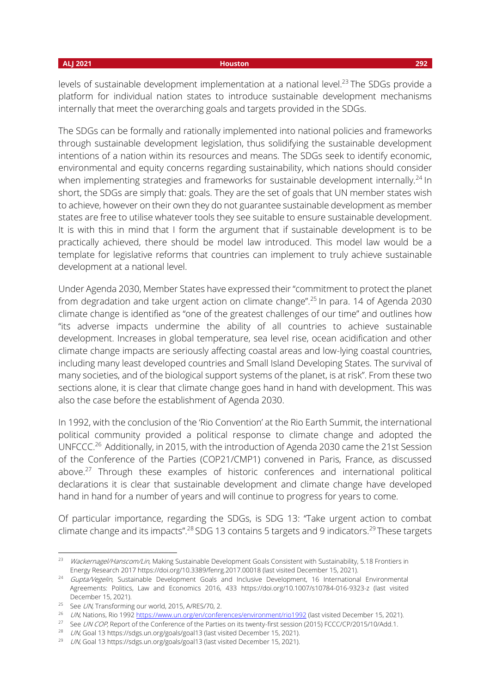levels of sustainable development implementation at a national level.<sup>23</sup> The SDGs provide a platform for individual nation states to introduce sustainable development mechanisms internally that meet the overarching goals and targets provided in the SDGs.

The SDGs can be formally and rationally implemented into national policies and frameworks through sustainable development legislation, thus solidifying the sustainable development intentions of a nation within its resources and means. The SDGs seek to identify economic, environmental and equity concerns regarding sustainability, which nations should consider when implementing strategies and frameworks for sustainable development internally.<sup>24</sup> In short, the SDGs are simply that: goals. They are the set of goals that UN member states wish to achieve, however on their own they do not guarantee sustainable development as member states are free to utilise whatever tools they see suitable to ensure sustainable development. It is with this in mind that I form the argument that if sustainable development is to be practically achieved, there should be model law introduced. This model law would be a template for legislative reforms that countries can implement to truly achieve sustainable development at a national level.

Under Agenda 2030, Member States have expressed their "commitment to protect the planet from degradation and take urgent action on climate change".<sup>25</sup> In para. 14 of Agenda 2030 climate change is identified as "one of the greatest challenges of our time" and outlines how "its adverse impacts undermine the ability of all countries to achieve sustainable development. Increases in global temperature, sea level rise, ocean acidification and other climate change impacts are seriously affecting coastal areas and low-lying coastal countries, including many least developed countries and Small Island Developing States. The survival of many societies, and of the biological support systems of the planet, is at risk". From these two sections alone, it is clear that climate change goes hand in hand with development. This was also the case before the establishment of Agenda 2030.

In 1992, with the conclusion of the 'Rio Convention' at the Rio Earth Summit, the international political community provided a political response to climate change and adopted the UNFCCC.<sup>26</sup> Additionally, in 2015, with the introduction of Agenda 2030 came the 21st Session of the Conference of the Parties (COP21/CMP1) convened in Paris, France, as discussed above.<sup>27</sup> Through these examples of historic conferences and international political declarations it is clear that sustainable development and climate change have developed hand in hand for a number of years and will continue to progress for years to come.

Of particular importance, regarding the SDGs, is SDG 13: "Take urgent action to combat climate change and its impacts".<sup>28</sup> SDG 13 contains 5 targets and 9 indicators.<sup>29</sup> These targets

<sup>&</sup>lt;sup>23</sup> Wackernagel/Hanscom/Lin, Making Sustainable Development Goals Consistent with Sustainability, 5.18 Frontiers in Energy Research 201[7 https://doi.org/10.3389/fenrg.2017.00018](https://doi.org/10.3389/fenrg.2017.00018) (last visited December 15, 2021).

<sup>&</sup>lt;sup>24</sup> Gupta/Vegelin, Sustainable Development Goals and Inclusive Development, 16 International Environmental Agreements: Politics, Law and Economics 2016, 433 <https://doi.org/10.1007/s10784-016-9323-z> (last visited December 15, 2021).

<sup>&</sup>lt;sup>25</sup> See *UN*, Transforming our world, 2015, A/RES/70, 2.

<sup>&</sup>lt;sup>26</sup> UN, Nations, Rio 199[2 https://www.un.org/en/conferences/environment/rio1992](https://www.un.org/en/conferences/environment/rio1992) (last visited December 15, 2021).

<sup>&</sup>lt;sup>27</sup> See *UN COP*, Report of the Conference of the Parties on its twenty-first session (2015) FCCC/CP/2015/10/Add.1.

<sup>&</sup>lt;sup>28</sup> UN, Goal 1[3 https://sdgs.un.org/goals/goal13](https://sdgs.un.org/goals/goal13) (last visited December 15, 2021).

<sup>&</sup>lt;sup>29</sup> UN, Goal 1[3 https://sdgs.un.org/goals/goal13](https://sdgs.un.org/goals/goal13) (last visited December 15, 2021).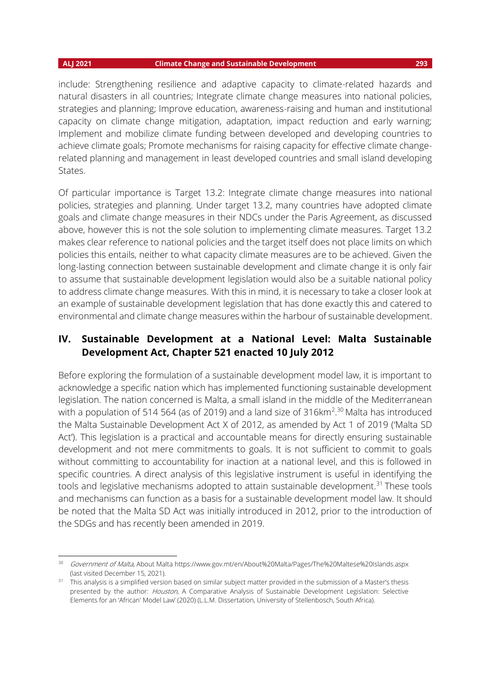include: Strengthening resilience and adaptive capacity to climate-related hazards and natural disasters in all countries; Integrate climate change measures into national policies, strategies and planning; Improve education, awareness-raising and human and institutional capacity on climate change mitigation, adaptation, impact reduction and early warning; Implement and mobilize climate funding between developed and developing countries to achieve climate goals; Promote mechanisms for raising capacity for effective climate changerelated planning and management in least developed countries and small island developing States.

Of particular importance is Target 13.2: Integrate climate change measures into national policies, strategies and planning. Under target 13.2, many countries have adopted climate goals and climate change measures in their NDCs under the Paris Agreement, as discussed above, however this is not the sole solution to implementing climate measures. Target 13.2 makes clear reference to national policies and the target itself does not place limits on which policies this entails, neither to what capacity climate measures are to be achieved. Given the long-lasting connection between sustainable development and climate change it is only fair to assume that sustainable development legislation would also be a suitable national policy to address climate change measures. With this in mind, it is necessary to take a closer look at an example of sustainable development legislation that has done exactly this and catered to environmental and climate change measures within the harbour of sustainable development.

# **IV. Sustainable Development at a National Level: Malta Sustainable Development Act, Chapter 521 enacted 10 July 2012**

Before exploring the formulation of a sustainable development model law, it is important to acknowledge a specific nation which has implemented functioning sustainable development legislation. The nation concerned is Malta, a small island in the middle of the Mediterranean with a population of 514 564 (as of 2019) and a land size of 316km<sup>2,30</sup> Malta has introduced the Malta Sustainable Development Act X of 2012, as amended by Act 1 of 2019 ('Malta SD Act'). This legislation is a practical and accountable means for directly ensuring sustainable development and not mere commitments to goals. It is not sufficient to commit to goals without committing to accountability for inaction at a national level, and this is followed in specific countries. A direct analysis of this legislative instrument is useful in identifying the tools and legislative mechanisms adopted to attain sustainable development.<sup>31</sup> These tools and mechanisms can function as a basis for a sustainable development model law. It should be noted that the Malta SD Act was initially introduced in 2012, prior to the introduction of the SDGs and has recently been amended in 2019.

<sup>&</sup>lt;sup>30</sup> Government of Malta, About Malta<https://www.gov.mt/en/About%20Malta/Pages/The%20Maltese%20Islands.aspx> (last visited December 15, 2021).

<sup>&</sup>lt;sup>31</sup> This analysis is a simplified version based on similar subject matter provided in the submission of a Master's thesis presented by the author: Houston, A Comparative Analysis of Sustainable Development Legislation: Selective Elements for an 'African' Model Law' (2020) (L.L.M. Dissertation, University of Stellenbosch, South Africa).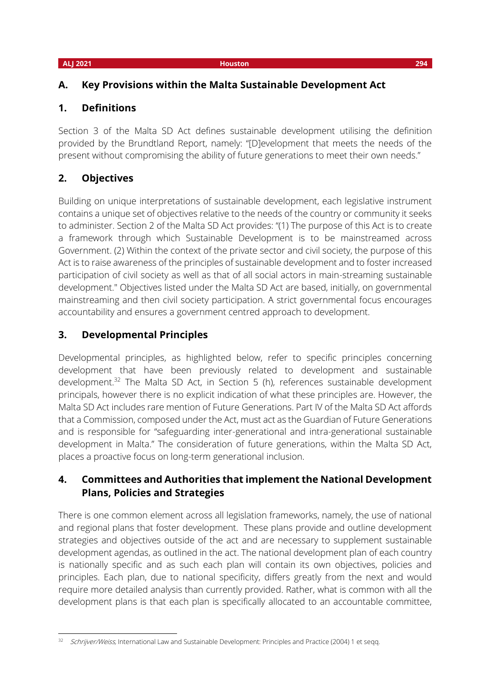# **A. Key Provisions within the Malta Sustainable Development Act**

# **1. Definitions**

Section 3 of the Malta SD Act defines sustainable development utilising the definition provided by the Brundtland Report, namely: "[D]evelopment that meets the needs of the present without compromising the ability of future generations to meet their own needs."

# **2. Objectives**

Building on unique interpretations of sustainable development, each legislative instrument contains a unique set of objectives relative to the needs of the country or community it seeks to administer. Section 2 of the Malta SD Act provides: "(1) The purpose of this Act is to create a framework through which Sustainable Development is to be mainstreamed across Government. (2) Within the context of the private sector and civil society, the purpose of this Act is to raise awareness of the principles of sustainable development and to foster increased participation of civil society as well as that of all social actors in main-streaming sustainable development." Objectives listed under the Malta SD Act are based, initially, on governmental mainstreaming and then civil society participation. A strict governmental focus encourages accountability and ensures a government centred approach to development.

# **3. Developmental Principles**

Developmental principles, as highlighted below, refer to specific principles concerning development that have been previously related to development and sustainable development.<sup>32</sup> The Malta SD Act, in Section 5 (h), references sustainable development principals, however there is no explicit indication of what these principles are. However, the Malta SD Act includes rare mention of Future Generations. Part IV of the Malta SD Act affords that a Commission, composed under the Act, must act as the Guardian of Future Generations and is responsible for "safeguarding inter-generational and intra-generational sustainable development in Malta." The consideration of future generations, within the Malta SD Act, places a proactive focus on long-term generational inclusion.

# **4. Committees and Authorities that implement the National Development Plans, Policies and Strategies**

There is one common element across all legislation frameworks, namely, the use of national and regional plans that foster development. These plans provide and outline development strategies and objectives outside of the act and are necessary to supplement sustainable development agendas, as outlined in the act. The national development plan of each country is nationally specific and as such each plan will contain its own objectives, policies and principles. Each plan, due to national specificity, differs greatly from the next and would require more detailed analysis than currently provided. Rather, what is common with all the development plans is that each plan is specifically allocated to an accountable committee,

<sup>32</sup> Schrijver/Weiss, International Law and Sustainable Development: Principles and Practice (2004) 1 et seqq.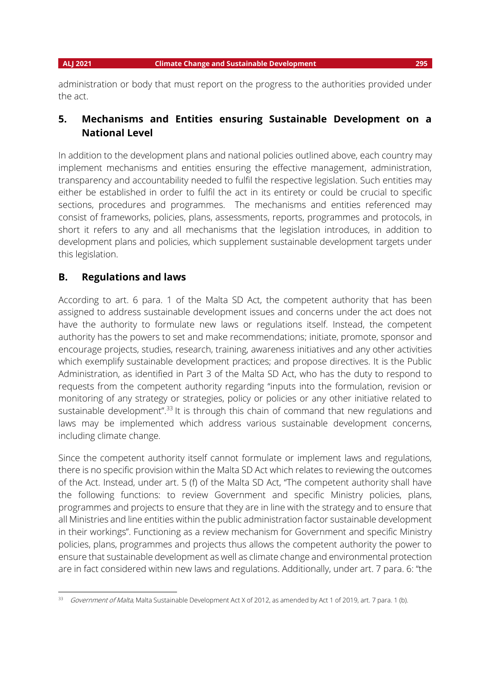administration or body that must report on the progress to the authorities provided under the act.

# **5. Mechanisms and Entities ensuring Sustainable Development on a National Level**

In addition to the development plans and national policies outlined above, each country may implement mechanisms and entities ensuring the effective management, administration, transparency and accountability needed to fulfil the respective legislation. Such entities may either be established in order to fulfil the act in its entirety or could be crucial to specific sections, procedures and programmes. The mechanisms and entities referenced may consist of frameworks, policies, plans, assessments, reports, programmes and protocols, in short it refers to any and all mechanisms that the legislation introduces, in addition to development plans and policies, which supplement sustainable development targets under this legislation.

## **B. Regulations and laws**

According to art. 6 para. 1 of the Malta SD Act, the competent authority that has been assigned to address sustainable development issues and concerns under the act does not have the authority to formulate new laws or regulations itself. Instead, the competent authority has the powers to set and make recommendations; initiate, promote, sponsor and encourage projects, studies, research, training, awareness initiatives and any other activities which exemplify sustainable development practices; and propose directives. It is the Public Administration, as identified in Part 3 of the Malta SD Act, who has the duty to respond to requests from the competent authority regarding "inputs into the formulation, revision or monitoring of any strategy or strategies, policy or policies or any other initiative related to sustainable development".<sup>33</sup> It is through this chain of command that new regulations and laws may be implemented which address various sustainable development concerns, including climate change.

Since the competent authority itself cannot formulate or implement laws and regulations, there is no specific provision within the Malta SD Act which relates to reviewing the outcomes of the Act. Instead, under art. 5 (f) of the Malta SD Act, "The competent authority shall have the following functions: to review Government and specific Ministry policies, plans, programmes and projects to ensure that they are in line with the strategy and to ensure that all Ministries and line entities within the public administration factor sustainable development in their workings". Functioning as a review mechanism for Government and specific Ministry policies, plans, programmes and projects thus allows the competent authority the power to ensure that sustainable development as well as climate change and environmental protection are in fact considered within new laws and regulations. Additionally, under art. 7 para. 6: "the

<sup>33</sup> Government of Malta, Malta Sustainable Development Act X of 2012, as amended by Act 1 of 2019, art. 7 para. 1 (b).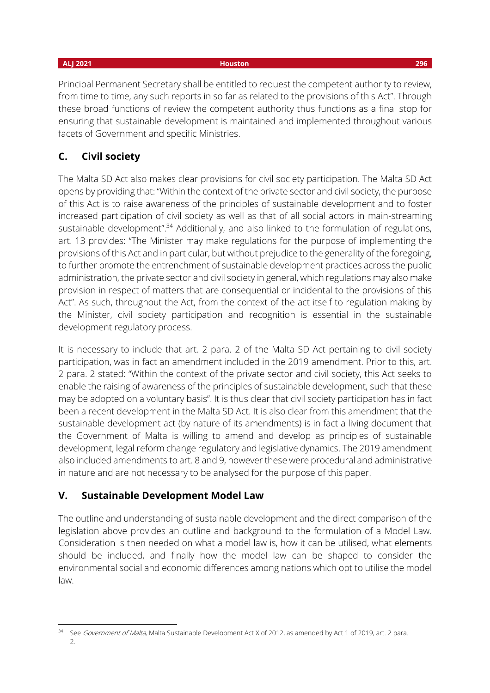Principal Permanent Secretary shall be entitled to request the competent authority to review, from time to time, any such reports in so far as related to the provisions of this Act". Through these broad functions of review the competent authority thus functions as a final stop for ensuring that sustainable development is maintained and implemented throughout various facets of Government and specific Ministries.

# **C. Civil society**

The Malta SD Act also makes clear provisions for civil society participation. The Malta SD Act opens by providing that: "Within the context of the private sector and civil society, the purpose of this Act is to raise awareness of the principles of sustainable development and to foster increased participation of civil society as well as that of all social actors in main-streaming sustainable development".<sup>34</sup> Additionally, and also linked to the formulation of regulations, art. 13 provides: "The Minister may make regulations for the purpose of implementing the provisions of this Act and in particular, but without prejudice to the generality of the foregoing, to further promote the entrenchment of sustainable development practices across the public administration, the private sector and civil society in general, which regulations may also make provision in respect of matters that are consequential or incidental to the provisions of this Act". As such, throughout the Act, from the context of the act itself to regulation making by the Minister, civil society participation and recognition is essential in the sustainable development regulatory process.

It is necessary to include that art. 2 para. 2 of the Malta SD Act pertaining to civil society participation, was in fact an amendment included in the 2019 amendment. Prior to this, art. 2 para. 2 stated: "Within the context of the private sector and civil society, this Act seeks to enable the raising of awareness of the principles of sustainable development, such that these may be adopted on a voluntary basis". It is thus clear that civil society participation has in fact been a recent development in the Malta SD Act. It is also clear from this amendment that the sustainable development act (by nature of its amendments) is in fact a living document that the Government of Malta is willing to amend and develop as principles of sustainable development, legal reform change regulatory and legislative dynamics. The 2019 amendment also included amendments to art. 8 and 9, however these were procedural and administrative in nature and are not necessary to be analysed for the purpose of this paper.

# **V. Sustainable Development Model Law**

The outline and understanding of sustainable development and the direct comparison of the legislation above provides an outline and background to the formulation of a Model Law. Consideration is then needed on what a model law is, how it can be utilised, what elements should be included, and finally how the model law can be shaped to consider the environmental social and economic differences among nations which opt to utilise the model law.

See Government of Malta, Malta Sustainable Development Act X of 2012, as amended by Act 1 of 2019, art. 2 para. 2.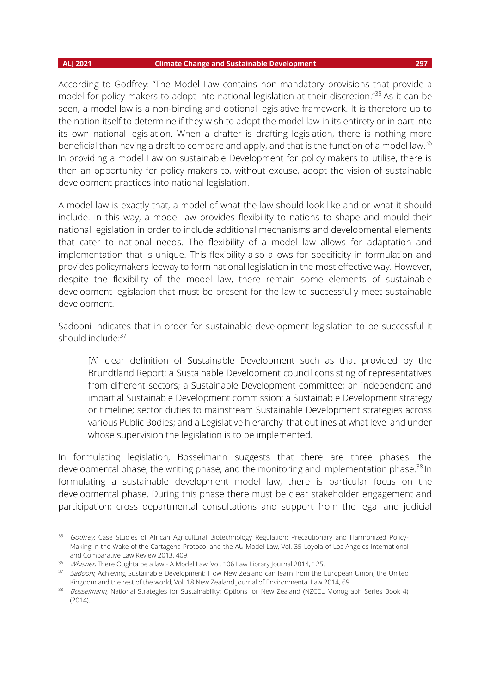According to Godfrey: "The Model Law contains non-mandatory provisions that provide a model for policy-makers to adopt into national legislation at their discretion."<sup>35</sup> As it can be seen, a model law is a non-binding and optional legislative framework. It is therefore up to the nation itself to determine if they wish to adopt the model law in its entirety or in part into its own national legislation. When a drafter is drafting legislation, there is nothing more beneficial than having a draft to compare and apply, and that is the function of a model law.<sup>36</sup> In providing a model Law on sustainable Development for policy makers to utilise, there is then an opportunity for policy makers to, without excuse, adopt the vision of sustainable development practices into national legislation.

A model law is exactly that, a model of what the law should look like and or what it should include. In this way, a model law provides flexibility to nations to shape and mould their national legislation in order to include additional mechanisms and developmental elements that cater to national needs. The flexibility of a model law allows for adaptation and implementation that is unique. This flexibility also allows for specificity in formulation and provides policymakers leeway to form national legislation in the most effective way. However, despite the flexibility of the model law, there remain some elements of sustainable development legislation that must be present for the law to successfully meet sustainable development.

Sadooni indicates that in order for sustainable development legislation to be successful it should include: 37

[A] clear definition of Sustainable Development such as that provided by the Brundtland Report; a Sustainable Development council consisting of representatives from different sectors; a Sustainable Development committee; an independent and impartial Sustainable Development commission; a Sustainable Development strategy or timeline; sector duties to mainstream Sustainable Development strategies across various Public Bodies; and a Legislative hierarchy that outlines at what level and under whose supervision the legislation is to be implemented.

In formulating legislation, Bosselmann suggests that there are three phases: the developmental phase; the writing phase; and the monitoring and implementation phase.<sup>38</sup> In formulating a sustainable development model law, there is particular focus on the developmental phase. During this phase there must be clear stakeholder engagement and participation; cross departmental consultations and support from the legal and judicial

<sup>&</sup>lt;sup>35</sup> Godfrey, Case Studies of African Agricultural Biotechnology Regulation: Precautionary and Harmonized Policy-Making in the Wake of the Cartagena Protocol and the AU Model Law, Vol. 35 Loyola of Los Angeles International and Comparative Law Review 2013, 409.

<sup>&</sup>lt;sup>36</sup> Whisner, There Oughta be a law - A Model Law, Vol. 106 Law Library Journal 2014, 125.

<sup>&</sup>lt;sup>37</sup> Sadooni, Achieving Sustainable Development: How New Zealand can learn from the European Union, the United Kingdom and the rest of the world, Vol. 18 New Zealand Journal of Environmental Law 2014, 69.

<sup>38</sup> Bosselmann, National Strategies for Sustainability: Options for New Zealand (NZCEL Monograph Series Book 4) (2014).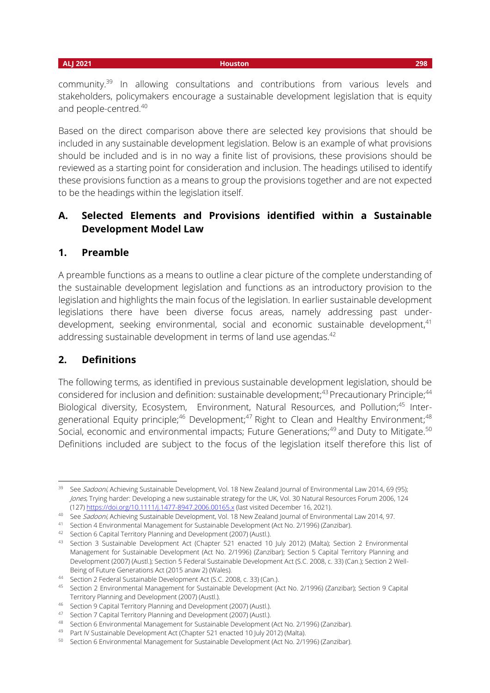community.<sup>39</sup> In allowing consultations and contributions from various levels and stakeholders, policymakers encourage a sustainable development legislation that is equity and people-centred.<sup>40</sup>

Based on the direct comparison above there are selected key provisions that should be included in any sustainable development legislation. Below is an example of what provisions should be included and is in no way a finite list of provisions, these provisions should be reviewed as a starting point for consideration and inclusion. The headings utilised to identify these provisions function as a means to group the provisions together and are not expected to be the headings within the legislation itself.

# **A. Selected Elements and Provisions identified within a Sustainable Development Model Law**

## **1. Preamble**

A preamble functions as a means to outline a clear picture of the complete understanding of the sustainable development legislation and functions as an introductory provision to the legislation and highlights the main focus of the legislation. In earlier sustainable development legislations there have been diverse focus areas, namely addressing past underdevelopment, seeking environmental, social and economic sustainable development, 41 addressing sustainable development in terms of land use agendas.<sup>42</sup>

## **2. Definitions**

The following terms, as identified in previous sustainable development legislation, should be considered for inclusion and definition: sustainable development; $43$  Precautionary Principle; $44$ Biological diversity, Ecosystem, Environment, Natural Resources, and Pollution;<sup>45</sup> Intergenerational Equity principle;<sup>46</sup> Development;<sup>47</sup> Right to Clean and Healthy Environment;<sup>48</sup> Social, economic and environmental impacts; Future Generations;<sup>49</sup> and Duty to Mitigate.<sup>50</sup> Definitions included are subject to the focus of the legislation itself therefore this list of

<sup>&</sup>lt;sup>39</sup> See Sadooni, Achieving Sustainable Development, Vol. 18 New Zealand Journal of Environmental Law 2014, 69 (95); Jones, Trying harder: Developing a new sustainable strategy for the UK, Vol. 30 Natural Resources Forum 2006, 124 (127[\) https://doi.org/10.1111/j.1477-8947.2006.00165.x](https://doi.org/10.1111/j.1477-8947.2006.00165.x) (last visited December 16, 2021).

<sup>40</sup> See Sadooni, Achieving Sustainable Development, Vol. 18 New Zealand Journal of Environmental Law 2014, 97.

<sup>41</sup> Section 4 Environmental Management for Sustainable Development (Act No. 2/1996) (Zanzibar).

<sup>42</sup> Section 6 Capital Territory Planning and Development (2007) (Austl.).

<sup>&</sup>lt;sup>43</sup> Section 3 Sustainable Development Act (Chapter 521 enacted 10 July 2012) (Malta); Section 2 Environmental Management for Sustainable Development (Act No. 2/1996) (Zanzibar); Section 5 Capital Territory Planning and Development (2007) (Austl.); Section 5 Federal Sustainable Development Act (S.C. 2008, c. 33) (Can.); Section 2 Well-Being of Future Generations Act (2015 anaw 2) (Wales).

<sup>44</sup> Section 2 Federal Sustainable Development Act (S.C. 2008, c. 33) (Can.).

<sup>45</sup> Section 2 Environmental Management for Sustainable Development (Act No. 2/1996) (Zanzibar); Section 9 Capital Territory Planning and Development (2007) (Austl.).

<sup>46</sup> Section 9 Capital Territory Planning and Development (2007) (Austl.).

<sup>47</sup> Section 7 Capital Territory Planning and Development (2007) (Austl.).

<sup>48</sup> Section 6 Environmental Management for Sustainable Development (Act No. 2/1996) (Zanzibar).

<sup>49</sup> Part IV Sustainable Development Act (Chapter 521 enacted 10 July 2012) (Malta).

<sup>50</sup> Section 6 Environmental Management for Sustainable Development (Act No. 2/1996) (Zanzibar).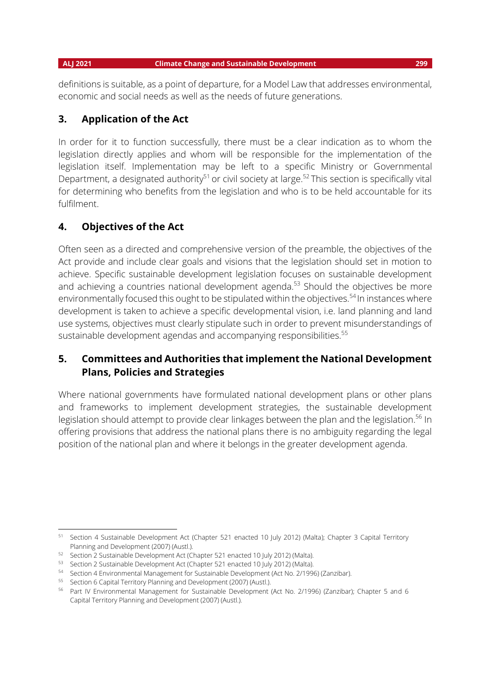definitions is suitable, as a point of departure, for a Model Law that addresses environmental, economic and social needs as well as the needs of future generations.

## **3. Application of the Act**

In order for it to function successfully, there must be a clear indication as to whom the legislation directly applies and whom will be responsible for the implementation of the legislation itself. Implementation may be left to a specific Ministry or Governmental Department, a designated authority<sup>51</sup> or civil society at large.<sup>52</sup> This section is specifically vital for determining who benefits from the legislation and who is to be held accountable for its fulfilment.

# **4. Objectives of the Act**

Often seen as a directed and comprehensive version of the preamble, the objectives of the Act provide and include clear goals and visions that the legislation should set in motion to achieve. Specific sustainable development legislation focuses on sustainable development and achieving a countries national development agenda.<sup>53</sup> Should the objectives be more environmentally focused this ought to be stipulated within the objectives.<sup>54</sup> In instances where development is taken to achieve a specific developmental vision, i.e. land planning and land use systems, objectives must clearly stipulate such in order to prevent misunderstandings of sustainable development agendas and accompanying responsibilities.<sup>55</sup>

# **5. Committees and Authorities that implement the National Development Plans, Policies and Strategies**

Where national governments have formulated national development plans or other plans and frameworks to implement development strategies, the sustainable development legislation should attempt to provide clear linkages between the plan and the legislation.<sup>56</sup> In offering provisions that address the national plans there is no ambiguity regarding the legal position of the national plan and where it belongs in the greater development agenda.

<sup>51</sup> Section 4 Sustainable Development Act (Chapter 521 enacted 10 July 2012) (Malta); Chapter 3 Capital Territory Planning and Development (2007) (Austl.).

<sup>52</sup> Section 2 Sustainable Development Act (Chapter 521 enacted 10 July 2012) (Malta).

<sup>53</sup> Section 2 Sustainable Development Act (Chapter 521 enacted 10 July 2012) (Malta).

<sup>54</sup> Section 4 Environmental Management for Sustainable Development (Act No. 2/1996) (Zanzibar).

<sup>55</sup> Section 6 Capital Territory Planning and Development (2007) (Austl.).

<sup>56</sup> Part IV Environmental Management for Sustainable Development (Act No. 2/1996) (Zanzibar); Chapter 5 and 6 Capital Territory Planning and Development (2007) (Austl.).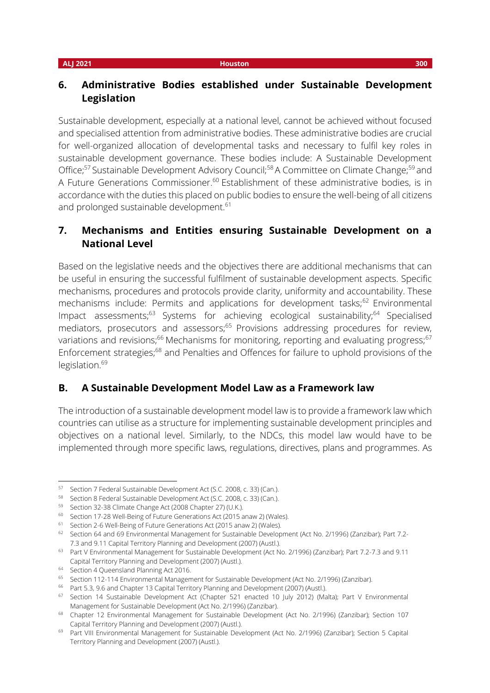# **6. Administrative Bodies established under Sustainable Development Legislation**

Sustainable development, especially at a national level, cannot be achieved without focused and specialised attention from administrative bodies. These administrative bodies are crucial for well-organized allocation of developmental tasks and necessary to fulfil key roles in sustainable development governance. These bodies include: A Sustainable Development Office;<sup>57</sup> Sustainable Development Advisory Council;<sup>58</sup> A Committee on Climate Change;<sup>59</sup> and A Future Generations Commissioner.<sup>60</sup> Establishment of these administrative bodies, is in accordance with the duties this placed on public bodies to ensure the well-being of all citizens and prolonged sustainable development.<sup>61</sup>

# **7. Mechanisms and Entities ensuring Sustainable Development on a National Level**

Based on the legislative needs and the objectives there are additional mechanisms that can be useful in ensuring the successful fulfilment of sustainable development aspects. Specific mechanisms, procedures and protocols provide clarity, uniformity and accountability. These mechanisms include: Permits and applications for development tasks;<sup>62</sup> Environmental Impact assessments;<sup>63</sup> Systems for achieving ecological sustainability;<sup>64</sup> Specialised mediators, prosecutors and assessors;<sup>65</sup> Provisions addressing procedures for review, variations and revisions; $^{66}$  Mechanisms for monitoring, reporting and evaluating progress; $^{67}$ Enforcement strategies;<sup>68</sup> and Penalties and Offences for failure to uphold provisions of the legislation.<sup>69</sup>

# **B. A Sustainable Development Model Law as a Framework law**

The introduction of a sustainable development model law is to provide a framework law which countries can utilise as a structure for implementing sustainable development principles and objectives on a national level. Similarly, to the NDCs, this model law would have to be implemented through more specific laws, regulations, directives, plans and programmes. As

<sup>57</sup> Section 7 Federal Sustainable Development Act (S.C. 2008, c. 33) (Can.).

<sup>58</sup> Section 8 Federal Sustainable Development Act (S.C. 2008, c. 33) (Can.).

<sup>59</sup> Section 32-38 Climate Change Act (2008 Chapter 27) (U.K.).

<sup>60</sup> Section 17-28 Well-Being of Future Generations Act (2015 anaw 2) (Wales).

<sup>61</sup> Section 2-6 Well-Being of Future Generations Act (2015 anaw 2) (Wales).

<sup>62</sup> Section 64 and 69 Environmental Management for Sustainable Development (Act No. 2/1996) (Zanzibar); Part 7.2- 7.3 and 9.11 Capital Territory Planning and Development (2007) (Austl.).

<sup>63</sup> Part V Environmental Management for Sustainable Development (Act No. 2/1996) (Zanzibar); Part 7.2-7.3 and 9.11 Capital Territory Planning and Development (2007) (Austl.).

<sup>64</sup> Section 4 Queensland Planning Act 2016.

<sup>&</sup>lt;sup>65</sup> Section 112-114 Environmental Management for Sustainable Development (Act No. 2/1996) (Zanzibar).

<sup>&</sup>lt;sup>66</sup> Part 5.3, 9.6 and Chapter 13 Capital Territory Planning and Development (2007) (Austl.).

<sup>&</sup>lt;sup>67</sup> Section 14 Sustainable Development Act (Chapter 521 enacted 10 July 2012) (Malta); Part V Environmental Management for Sustainable Development (Act No. 2/1996) (Zanzibar).

<sup>&</sup>lt;sup>68</sup> Chapter 12 Environmental Management for Sustainable Development (Act No. 2/1996) (Zanzibar); Section 107 Capital Territory Planning and Development (2007) (Austl.).

<sup>&</sup>lt;sup>69</sup> Part VIII Environmental Management for Sustainable Development (Act No. 2/1996) (Zanzibar); Section 5 Capital Territory Planning and Development (2007) (Austl.).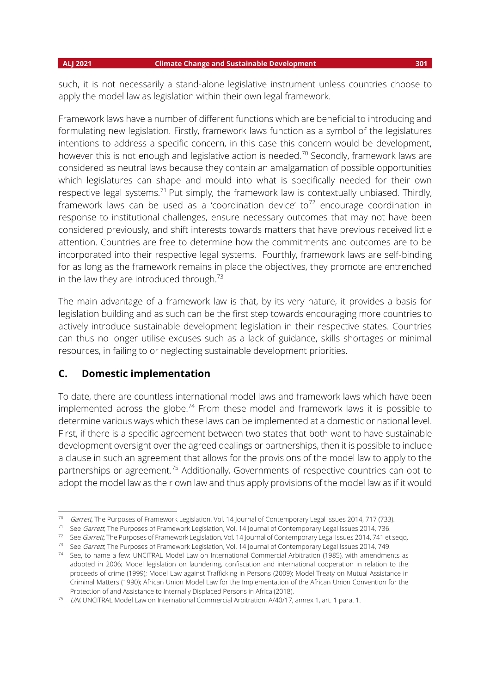### **ALJ 2021 Climate Change and Sustainable Development 301**

such, it is not necessarily a stand-alone legislative instrument unless countries choose to apply the model law as legislation within their own legal framework.

Framework laws have a number of different functions which are beneficial to introducing and formulating new legislation. Firstly, framework laws function as a symbol of the legislatures intentions to address a specific concern, in this case this concern would be development, however this is not enough and legislative action is needed.<sup>70</sup> Secondly, framework laws are considered as neutral laws because they contain an amalgamation of possible opportunities which legislatures can shape and mould into what is specifically needed for their own respective legal systems.<sup>71</sup> Put simply, the framework law is contextually unbiased. Thirdly, framework laws can be used as a 'coordination device' to<sup>72</sup> encourage coordination in response to institutional challenges, ensure necessary outcomes that may not have been considered previously, and shift interests towards matters that have previous received little attention. Countries are free to determine how the commitments and outcomes are to be incorporated into their respective legal systems. Fourthly, framework laws are self-binding for as long as the framework remains in place the objectives, they promote are entrenched in the law they are introduced through. $73$ 

The main advantage of a framework law is that, by its very nature, it provides a basis for legislation building and as such can be the first step towards encouraging more countries to actively introduce sustainable development legislation in their respective states. Countries can thus no longer utilise excuses such as a lack of guidance, skills shortages or minimal resources, in failing to or neglecting sustainable development priorities.

## **C. Domestic implementation**

To date, there are countless international model laws and framework laws which have been implemented across the globe.<sup>74</sup> From these model and framework laws it is possible to determine various ways which these laws can be implemented at a domestic or national level. First, if there is a specific agreement between two states that both want to have sustainable development oversight over the agreed dealings or partnerships, then it is possible to include a clause in such an agreement that allows for the provisions of the model law to apply to the partnerships or agreement.<sup>75</sup> Additionally, Governments of respective countries can opt to adopt the model law as their own law and thus apply provisions of the model law as if it would

 <sup>70</sup> Garrett, The Purposes of Framework Legislation, Vol. 14 Journal of Contemporary Legal Issues 2014, 717 (733).

<sup>&</sup>lt;sup>71</sup> See *Garrett*, The Purposes of Framework Legislation, Vol. 14 Journal of Contemporary Legal Issues 2014, 736.

<sup>&</sup>lt;sup>72</sup> See *Garrett*, The Purposes of Framework Legislation, Vol. 14 Journal of Contemporary Legal Issues 2014, 741 et seqq.

<sup>&</sup>lt;sup>73</sup> See Garrett, The Purposes of Framework Legislation, Vol. 14 Journal of Contemporary Legal Issues 2014, 749.

<sup>74</sup> See, to name a few: UNCITRAL Model Law on International Commercial Arbitration (1985), with amendments as adopted in 2006; Model legislation on laundering, confiscation and international cooperation in relation to the proceeds of crime (1999); Model Law against Trafficking in Persons (2009); Model Treaty on Mutual Assistance in Criminal Matters (1990); African Union Model Law for the Implementation of the African Union Convention for the Protection of and Assistance to Internally Displaced Persons in Africa (2018).

<sup>75</sup> UN, UNCITRAL Model Law on International Commercial Arbitration, A/40/17, annex 1, art. 1 para. 1.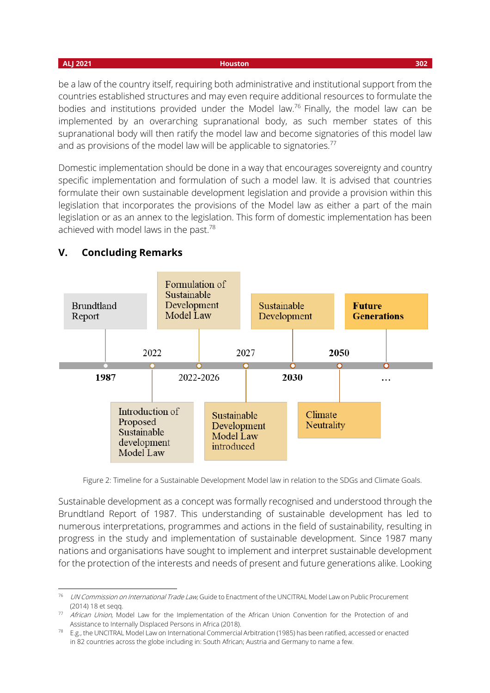**ALJ 2021 Houston 302**

be a law of the country itself, requiring both administrative and institutional support from the countries established structures and may even require additional resources to formulate the bodies and institutions provided under the Model law.<sup>76</sup> Finally, the model law can be implemented by an overarching supranational body, as such member states of this supranational body will then ratify the model law and become signatories of this model law and as provisions of the model law will be applicable to signatories.<sup>77</sup>

Domestic implementation should be done in a way that encourages sovereignty and country specific implementation and formulation of such a model law. It is advised that countries formulate their own sustainable development legislation and provide a provision within this legislation that incorporates the provisions of the Model law as either a part of the main legislation or as an annex to the legislation. This form of domestic implementation has been achieved with model laws in the past.<sup>78</sup>



# **V. Concluding Remarks**

Figure 2: Timeline for a Sustainable Development Model law in relation to the SDGs and Climate Goals.

Sustainable development as a concept was formally recognised and understood through the Brundtland Report of 1987. This understanding of sustainable development has led to numerous interpretations, programmes and actions in the field of sustainability, resulting in progress in the study and implementation of sustainable development. Since 1987 many nations and organisations have sought to implement and interpret sustainable development for the protection of the interests and needs of present and future generations alike. Looking

<sup>&</sup>lt;sup>76</sup> UN Commission on International Trade Law, Guide to Enactment of the UNCITRAL Model Law on Public Procurement (2014) 18 et seqq.

<sup>77</sup> African Union, Model Law for the Implementation of the African Union Convention for the Protection of and Assistance to Internally Displaced Persons in Africa (2018).

 $78$  E.g., the UNCITRAL Model Law on International Commercial Arbitration (1985) has been ratified, accessed or enacted in 82 countries across the globe including in: South African; Austria and Germany to name a few.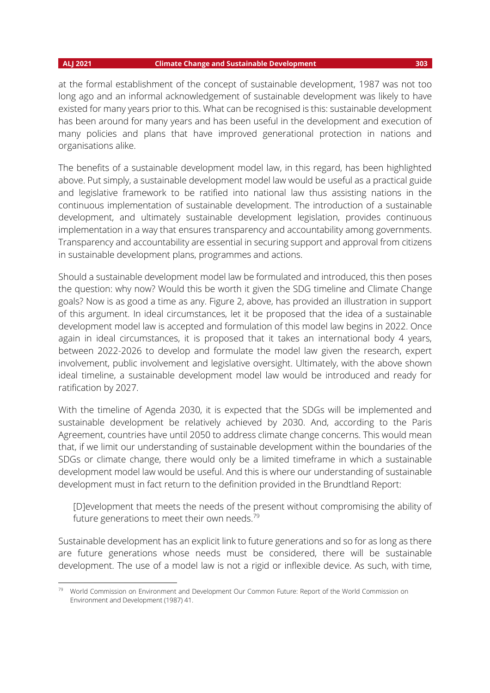at the formal establishment of the concept of sustainable development, 1987 was not too long ago and an informal acknowledgement of sustainable development was likely to have existed for many years prior to this. What can be recognised is this: sustainable development has been around for many years and has been useful in the development and execution of many policies and plans that have improved generational protection in nations and organisations alike.

The benefits of a sustainable development model law, in this regard, has been highlighted above. Put simply, a sustainable development model law would be useful as a practical guide and legislative framework to be ratified into national law thus assisting nations in the continuous implementation of sustainable development. The introduction of a sustainable development, and ultimately sustainable development legislation, provides continuous implementation in a way that ensures transparency and accountability among governments. Transparency and accountability are essential in securing support and approval from citizens in sustainable development plans, programmes and actions.

Should a sustainable development model law be formulated and introduced, this then poses the question: why now? Would this be worth it given the SDG timeline and Climate Change goals? Now is as good a time as any. Figure 2, above, has provided an illustration in support of this argument. In ideal circumstances, let it be proposed that the idea of a sustainable development model law is accepted and formulation of this model law begins in 2022. Once again in ideal circumstances, it is proposed that it takes an international body 4 years, between 2022-2026 to develop and formulate the model law given the research, expert involvement, public involvement and legislative oversight. Ultimately, with the above shown ideal timeline, a sustainable development model law would be introduced and ready for ratification by 2027.

With the timeline of Agenda 2030, it is expected that the SDGs will be implemented and sustainable development be relatively achieved by 2030. And, according to the Paris Agreement, countries have until 2050 to address climate change concerns. This would mean that, if we limit our understanding of sustainable development within the boundaries of the SDGs or climate change, there would only be a limited timeframe in which a sustainable development model law would be useful. And this is where our understanding of sustainable development must in fact return to the definition provided in the Brundtland Report:

[D]evelopment that meets the needs of the present without compromising the ability of future generations to meet their own needs. $79$ 

Sustainable development has an explicit link to future generations and so for as long as there are future generations whose needs must be considered, there will be sustainable development. The use of a model law is not a rigid or inflexible device. As such, with time,

<sup>&</sup>lt;sup>79</sup> World Commission on Environment and Development Our Common Future: Report of the World Commission on Environment and Development (1987) 41.